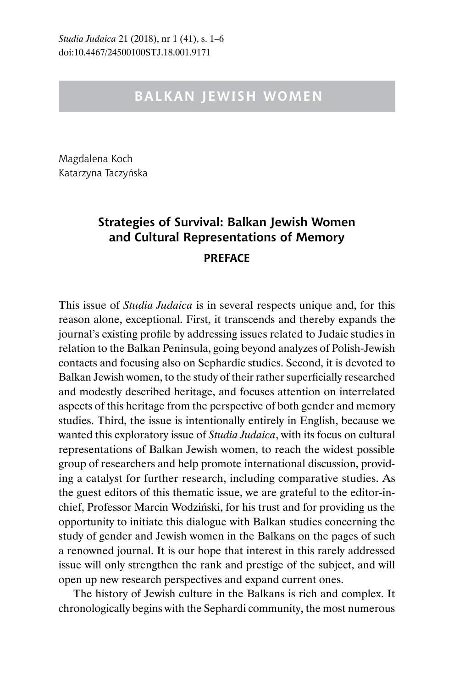## **BALKAN JEWISH WOMEN**

Magdalena Koch Katarzyna Taczyńska

## **Strategies of Survival: Balkan Jewish Women and Cultural Representations of Memory PREFACE**

This issue of *Studia Judaica* is in several respects unique and, for this reason alone, exceptional. First, it transcends and thereby expands the journal's existing profile by addressing issues related to Judaic studies in relation to the Balkan Peninsula, going beyond analyzes of Polish-Jewish contacts and focusing also on Sephardic studies. Second, it is devoted to Balkan Jewish women, to the study of their rather superficially researched and modestly described heritage, and focuses attention on interrelated aspects of this heritage from the perspective of both gender and memory studies. Third, the issue is intentionally entirely in English, because we wanted this exploratory issue of *Studia Judaica*, with its focus on cultural representations of Balkan Jewish women, to reach the widest possible group of researchers and help promote international discussion, providing a catalyst for further research, including comparative studies. As the guest editors of this thematic issue, we are grateful to the editor-inchief, Professor Marcin Wodziński, for his trust and for providing us the opportunity to initiate this dialogue with Balkan studies concerning the study of gender and Jewish women in the Balkans on the pages of such a renowned journal. It is our hope that interest in this rarely addressed issue will only strengthen the rank and prestige of the subject, and will open up new research perspectives and expand current ones.

The history of Jewish culture in the Balkans is rich and complex. It chronologically begins with the Sephardi community, the most numerous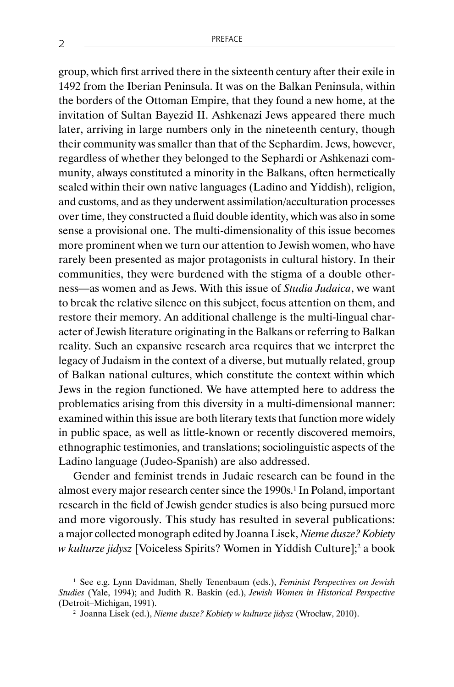group, which first arrived there in the sixteenth century after their exile in 1492 from the Iberian Peninsula. It was on the Balkan Peninsula, within the borders of the Ottoman Empire, that they found a new home, at the invitation of Sultan Bayezid II. Ashkenazi Jews appeared there much later, arriving in large numbers only in the nineteenth century, though their community was smaller than that of the Sephardim. Jews, however, regardless of whether they belonged to the Sephardi or Ashkenazi community, always constituted a minority in the Balkans, often hermetically sealed within their own native languages (Ladino and Yiddish), religion, and customs, and as they underwent assimilation/acculturation processes over time, they constructed a fluid double identity, which was also in some sense a provisional one. The multi-dimensionality of this issue becomes more prominent when we turn our attention to Jewish women, who have rarely been presented as major protagonists in cultural history. In their communities, they were burdened with the stigma of a double otherness—as women and as Jews. With this issue of *Studia Judaica*, we want to break the relative silence on this subject, focus attention on them, and restore their memory. An additional challenge is the multi-lingual character of Jewish literature originating in the Balkans or referring to Balkan reality. Such an expansive research area requires that we interpret the legacy of Judaism in the context of a diverse, but mutually related, group of Balkan national cultures, which constitute the context within which Jews in the region functioned. We have attempted here to address the problematics arising from this diversity in a multi-dimensional manner: examined within this issue are both literary texts that function more widely in public space, as well as little-known or recently discovered memoirs, ethnographic testimonies, and translations; sociolinguistic aspects of the Ladino language (Judeo-Spanish) are also addressed.

Gender and feminist trends in Judaic research can be found in the almost every major research center since the 1990s.<sup>1</sup> In Poland, important research in the field of Jewish gender studies is also being pursued more and more vigorously. This study has resulted in several publications: a major collected monograph edited by Joanna Lisek, *Nieme dusze? Kobiety*  w kulturze jidysz [Voiceless Spirits? Women in Yiddish Culture];<sup>2</sup> a book

<sup>1</sup> See e.g. Lynn Davidman, Shelly Tenenbaum (eds.), *Feminist Perspectives on Jewish Studies* (Yale, 1994); and Judith R. Baskin (ed.), *Jewish Women in Historical Perspective* (Detroit–Michigan, 1991).

<sup>2</sup> Joanna Lisek (ed.), *Nieme dusze? Kobiety w kulturze jidysz* (Wrocław, 2010).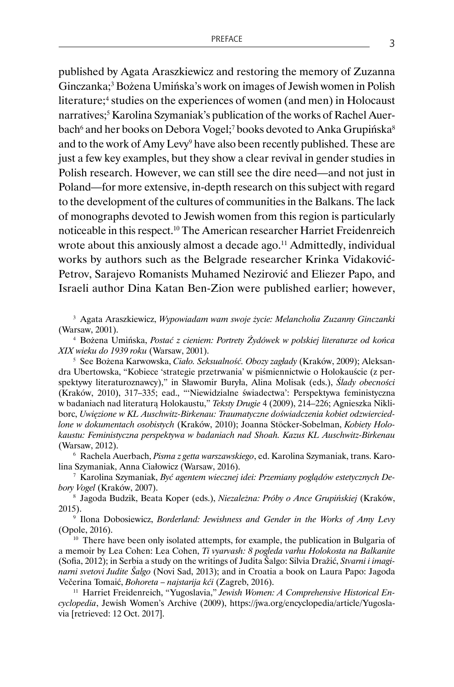published by Agata Araszkiewicz and restoring the memory of Zuzanna Ginczanka;3 Bożena Umińska's work on images of Jewish women in Polish literature;<sup>4</sup> studies on the experiences of women (and men) in Holocaust narratives;<sup>5</sup> Karolina Szymaniak's publication of the works of Rachel Auerbach<sup>6</sup> and her books on Debora Vogel;<sup>7</sup> books devoted to Anka Grupińska<sup>8</sup> and to the work of Amy Levy<sup>9</sup> have also been recently published. These are just a few key examples, but they show a clear revival in gender studies in Polish research. However, we can still see the dire need—and not just in Poland—for more extensive, in-depth research on this subject with regard to the development of the cultures of communities in the Balkans. The lack of monographs devoted to Jewish women from this region is particularly noticeable in this respect.10 The American researcher Harriet Freidenreich wrote about this anxiously almost a decade ago.<sup>11</sup> Admittedly, individual works by authors such as the Belgrade researcher Krinka Vidaković-Petrov, Sarajevo Romanists Muhamed Nezirović and Eliezer Papo, and Israeli author Dina Katan Ben-Zion were published earlier; however,

<sup>3</sup> Agata Araszkiewicz, *Wypowiadam wam swoje życie: Melancholia Zuzanny Ginczanki* (Warsaw, 2001).

<sup>4</sup> Bożena Umińska, *Postać z cieniem: Portrety Żydówek w polskiej literaturze od końca XIX wieku do 1939 roku* (Warsaw, 2001).

<sup>5</sup> See Bożena Karwowska, *Ciało. Seksualność. Obozy zagłady* (Kraków, 2009); Aleksandra Ubertowska, "Kobiece 'strategie przetrwania' w piśmiennictwie o Holokauście (z perspektywy literaturoznawcy)," in Sławomir Buryła, Alina Molisak (eds.), *Ślady obecności* (Kraków, 2010), 317–335; ead., "'Niewidzialne świadectwa': Perspektywa feministyczna w badaniach nad literaturą Holokaustu," *Teksty Drugie* 4 (2009), 214–226; Agnieszka Nikliborc, *Uwięzione w KL Auschwitz-Birkenau: Traumatyczne doświadczenia kobiet odzwierciedlone w dokumentach osobistych* (Kraków, 2010); Joanna Stöcker-Sobelman, *Kobiety Holokaustu: Feministyczna perspektywa w badaniach nad Shoah. Kazus KL Auschwitz-Birkenau* (Warsaw, 2012).

<sup>6</sup> Rachela Auerbach, *Pisma z getta warszawskiego*, ed. Karolina Szymaniak, trans. Karolina Szymaniak, Anna Ciałowicz (Warsaw, 2016).

<sup>7</sup> Karolina Szymaniak, *Być agentem wiecznej idei: Przemiany poglądów estetycznych Debory Vogel* (Kraków, 2007).

<sup>8</sup> Jagoda Budzik, Beata Koper (eds.), *Niezależna: Próby o Ance Grupińskiej* (Kraków, 2015).

<sup>9</sup> Ilona Dobosiewicz, *Borderland: Jewishness and Gender in the Works of Amy Levy* (Opole, 2016).

<sup>10</sup> There have been only isolated attempts, for example, the publication in Bulgaria of a memoir by Lea Cohen: Lea Cohen, *Ti vyarvash: 8 pogleda varhu Holokosta na Balkanite* (Sofia, 2012); in Serbia a study on the writings of Judita Šalgo: Silvia Dražić, *Stvarni i imaginarni svetovi Judite Šalgo* (Novi Sad, 2013); and in Croatia a book on Laura Papo: Jagoda Večerina Tomaić, *Bohoreta – najstarija kći* (Zagreb, 2016).

<sup>11</sup> Harriet Freidenreich, "Yugoslavia," Jewish Women: A Comprehensive Historical En*cyclopedia*, Jewish Women's Archive (2009), https://jwa.org/encyclopedia/article/Yugoslavia [retrieved: 12 Oct. 2017].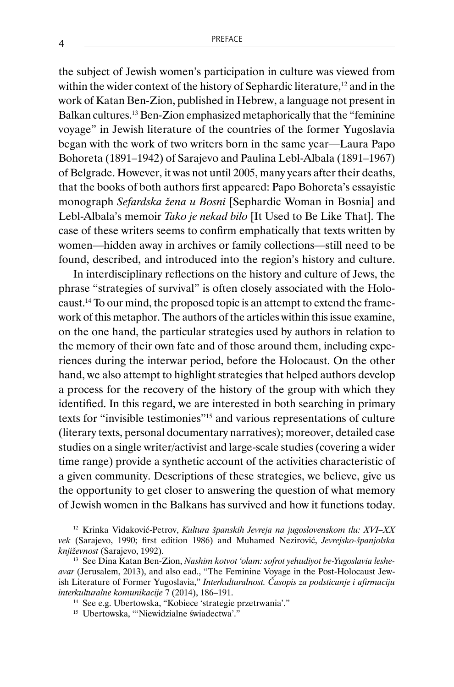the subject of Jewish women's participation in culture was viewed from within the wider context of the history of Sephardic literature,<sup>12</sup> and in the work of Katan Ben-Zion, published in Hebrew, a language not present in Balkan cultures.13 Ben-Zion emphasized metaphorically that the "feminine voyage" in Jewish literature of the countries of the former Yugoslavia began with the work of two writers born in the same year—Laura Papo Bohoreta (1891–1942) of Sarajevo and Paulina Lebl-Albala (1891–1967) of Belgrade. However, it was not until 2005, many years after their deaths, that the books of both authors first appeared: Papo Bohoreta's essayistic monograph *Sefardska žena u Bosni* [Sephardic Woman in Bosnia] and Lebl-Albala's memoir *Tako je nekad bilo* [It Used to Be Like That]. The case of these writers seems to confirm emphatically that texts written by women—hidden away in archives or family collections—still need to be found, described, and introduced into the region's history and culture.

In interdisciplinary reflections on the history and culture of Jews, the phrase "strategies of survival" is often closely associated with the Holocaust.14 To our mind, the proposed topic is an attempt to extend the framework of this metaphor. The authors of the articles within this issue examine, on the one hand, the particular strategies used by authors in relation to the memory of their own fate and of those around them, including experiences during the interwar period, before the Holocaust. On the other hand, we also attempt to highlight strategies that helped authors develop a process for the recovery of the history of the group with which they identified. In this regard, we are interested in both searching in primary texts for "invisible testimonies"15 and various representations of culture (literary texts, personal documentary narratives); moreover, detailed case studies on a single writer/activist and large-scale studies (covering a wider time range) provide a synthetic account of the activities characteristic of a given community. Descriptions of these strategies, we believe, give us the opportunity to get closer to answering the question of what memory of Jewish women in the Balkans has survived and how it functions today.

<sup>12</sup> Krinka Vidaković-Petrov, *Kultura španskih Jevreja na jugoslovenskom tlu: XVI–XX vek* (Sarajevo, 1990; first edition 1986) and Muhamed Nezirović, *Jevrejsko-španjolska književnost* (Sarajevo, 1992).

<sup>13</sup> See Dina Katan Ben-Zion, *Nashim kotvot 'olam: sofrot yehudiyot be-Yugoslavia lesheavar* (Jerusalem, 2013), and also ead., "The Feminine Voyage in the Post-Holocaust Jewish Literature of Former Yugoslavia," *Interkulturalnost. Časopis za podsticanje i afirmaciju interkulturalne komunikacije* 7 (2014), 186–191.

<sup>14</sup> See e.g. Ubertowska, "Kobiece 'strategie przetrwania'."

<sup>&</sup>lt;sup>15</sup> Ubertowska, "'Niewidzialne świadectwa'."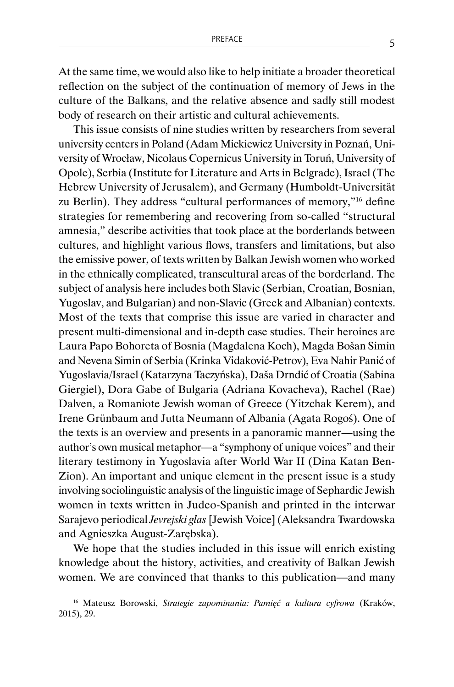At the same time, we would also like to help initiate a broader theoretical reflection on the subject of the continuation of memory of Jews in the culture of the Balkans, and the relative absence and sadly still modest body of research on their artistic and cultural achievements.

This issue consists of nine studies written by researchers from several university centers in Poland (Adam Mickiewicz University in Poznań, University of Wrocław, Nicolaus Copernicus University in Toruń, University of Opole), Serbia (Institute for Literature and Arts in Belgrade), Israel (The Hebrew University of Jerusalem), and Germany (Humboldt-Universität zu Berlin). They address "cultural performances of memory,"16 define strategies for remembering and recovering from so-called "structural amnesia," describe activities that took place at the borderlands between cultures, and highlight various flows, transfers and limitations, but also the emissive power, of texts written by Balkan Jewish women who worked in the ethnically complicated, transcultural areas of the borderland. The subject of analysis here includes both Slavic (Serbian, Croatian, Bosnian, Yugoslav, and Bulgarian) and non-Slavic (Greek and Albanian) contexts. Most of the texts that comprise this issue are varied in character and present multi-dimensional and in-depth case studies. Their heroines are Laura Papo Bohoreta of Bosnia (Magdalena Koch), Magda Bošan Simin and Nevena Simin of Serbia (Krinka Vidaković-Petrov), Eva Nahir Panić of Yugoslavia/Israel (Katarzyna Taczyńska), Daša Drndić of Croatia (Sabina Giergiel), Dora Gabe of Bulgaria (Adriana Kovacheva), Rachel (Rae) Dalven, a Romaniote Jewish woman of Greece (Yitzchak Kerem), and Irene Grünbaum and Jutta Neumann of Albania (Agata Rogoś). One of the texts is an overview and presents in a panoramic manner—using the author's own musical metaphor—a "symphony of unique voices" and their literary testimony in Yugoslavia after World War II (Dina Katan Ben-Zion). An important and unique element in the present issue is a study involving sociolinguistic analysis of the linguistic image of Sephardic Jewish women in texts written in Judeo-Spanish and printed in the interwar Sarajevo periodical *Jevrejski glas* [Jewish Voice] (Aleksandra Twardowska and Agnieszka August-Zarębska).

We hope that the studies included in this issue will enrich existing knowledge about the history, activities, and creativity of Balkan Jewish women. We are convinced that thanks to this publication—and many

<sup>&</sup>lt;sup>16</sup> Mateusz Borowski, Strategie zapominania: Pamięć a kultura cyfrowa (Kraków, 2015), 29.